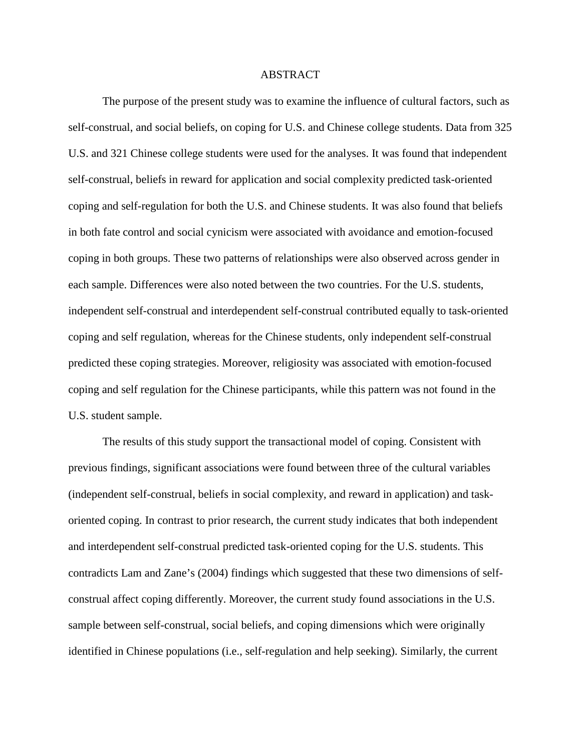## ABSTRACT

The purpose of the present study was to examine the influence of cultural factors, such as self-construal, and social beliefs, on coping for U.S. and Chinese college students. Data from 325 U.S. and 321 Chinese college students were used for the analyses. It was found that independent self-construal, beliefs in reward for application and social complexity predicted task-oriented coping and self-regulation for both the U.S. and Chinese students. It was also found that beliefs in both fate control and social cynicism were associated with avoidance and emotion-focused coping in both groups. These two patterns of relationships were also observed across gender in each sample. Differences were also noted between the two countries. For the U.S. students, independent self-construal and interdependent self-construal contributed equally to task-oriented coping and self regulation, whereas for the Chinese students, only independent self-construal predicted these coping strategies. Moreover, religiosity was associated with emotion-focused coping and self regulation for the Chinese participants, while this pattern was not found in the U.S. student sample.

The results of this study support the transactional model of coping. Consistent with previous findings, significant associations were found between three of the cultural variables (independent self-construal, beliefs in social complexity, and reward in application) and taskoriented coping. In contrast to prior research, the current study indicates that both independent and interdependent self-construal predicted task-oriented coping for the U.S. students. This contradicts Lam and Zane's (2004) findings which suggested that these two dimensions of selfconstrual affect coping differently. Moreover, the current study found associations in the U.S. sample between self-construal, social beliefs, and coping dimensions which were originally identified in Chinese populations (i.e., self-regulation and help seeking). Similarly, the current